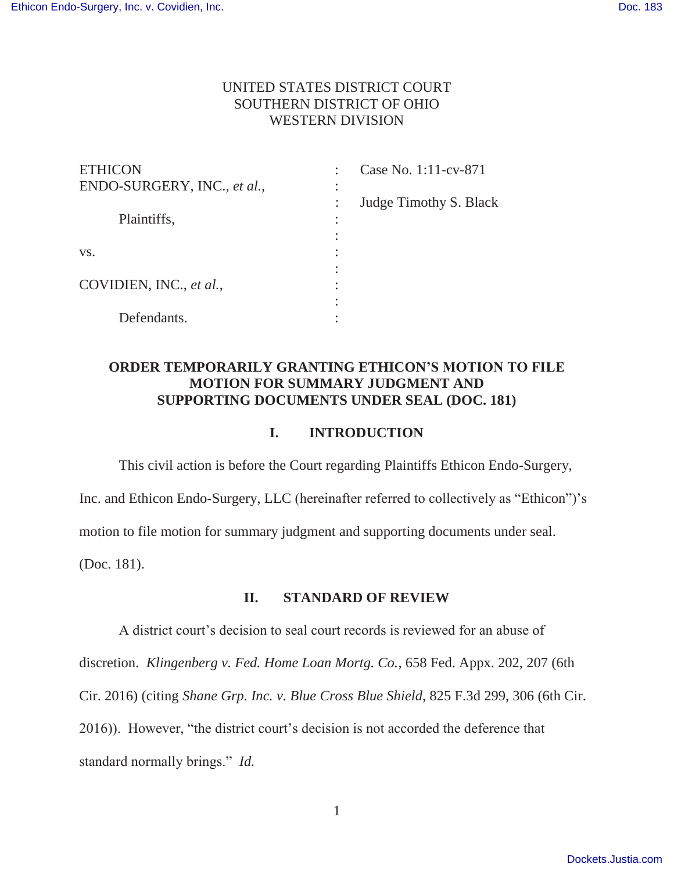## UNITED STATES DISTRICT COURT SOUTHERN DISTRICT OF OHIO WESTERN DIVISION

| <b>ETHICON</b>              | Case No. 1:11-cv-871   |  |
|-----------------------------|------------------------|--|
| ENDO-SURGERY, INC., et al., | ٠                      |  |
|                             | Judge Timothy S. Black |  |
| Plaintiffs,                 |                        |  |
|                             |                        |  |
| VS.                         |                        |  |
|                             |                        |  |
| COVIDIEN, INC., et al.,     |                        |  |
|                             |                        |  |
| Defendants.                 |                        |  |

## **ORDER TEMPORARILY GRANTING ETHICON'S MOTION TO FILE MOTION FOR SUMMARY JUDGMENT AND SUPPORTING DOCUMENTS UNDER SEAL (DOC. 181)**

## **I. INTRODUCTION**

This civil action is before the Court regarding Plaintiffs Ethicon Endo-Surgery,

Inc. and Ethicon Endo-Surgery, LLC (hereinafter referred to collectively as "Ethicon")'s

motion to file motion for summary judgment and supporting documents under seal.

(Doc. 181).

### **II. STANDARD OF REVIEW**

A district court's decision to seal court records is reviewed for an abuse of discretion. *Klingenberg v. Fed. Home Loan Mortg. Co.*, 658 Fed. Appx. 202, 207 (6th Cir. 2016) (citing *Shane Grp. Inc. v. Blue Cross Blue Shield*, 825 F.3d 299, 306 (6th Cir. 2016)). However, "the district court's decision is not accorded the deference that standard normally brings." *Id.*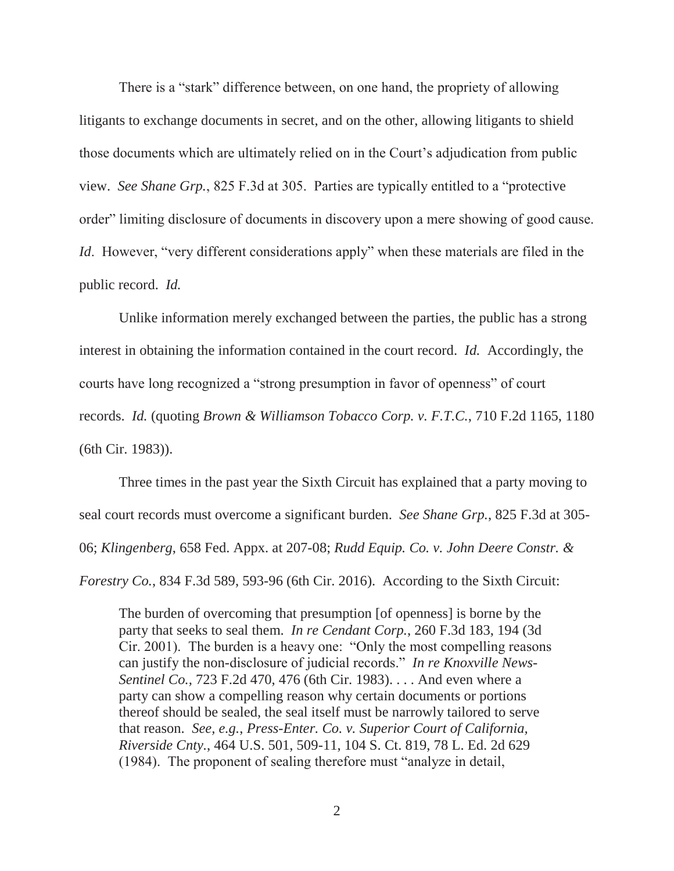There is a "stark" difference between, on one hand, the propriety of allowing litigants to exchange documents in secret, and on the other, allowing litigants to shield those documents which are ultimately relied on in the Court's adjudication from public view. *See Shane Grp.*, 825 F.3d at 305. Parties are typically entitled to a "protective order" limiting disclosure of documents in discovery upon a mere showing of good cause. *Id*. However, "very different considerations apply" when these materials are filed in the public record. *Id.*

Unlike information merely exchanged between the parties, the public has a strong interest in obtaining the information contained in the court record. *Id.* Accordingly, the courts have long recognized a "strong presumption in favor of openness" of court records. *Id.* (quoting *Brown & Williamson Tobacco Corp. v. F.T.C.*, 710 F.2d 1165, 1180 (6th Cir. 1983)).

Three times in the past year the Sixth Circuit has explained that a party moving to seal court records must overcome a significant burden. *See Shane Grp.*, 825 F.3d at 305- 06; *Klingenberg*, 658 Fed. Appx. at 207-08; *Rudd Equip. Co. v. John Deere Constr. & Forestry Co.*, 834 F.3d 589, 593-96 (6th Cir. 2016). According to the Sixth Circuit:

The burden of overcoming that presumption [of openness] is borne by the party that seeks to seal them. *In re Cendant Corp.*, 260 F.3d 183, 194 (3d Cir. 2001). The burden is a heavy one: "Only the most compelling reasons can justify the non-disclosure of judicial records." *In re Knoxville News-Sentinel Co.,* 723 F.2d 470, 476 (6th Cir. 1983). . . . And even where a party can show a compelling reason why certain documents or portions thereof should be sealed, the seal itself must be narrowly tailored to serve that reason. *See, e.g.*, *Press-Enter. Co. v. Superior Court of California, Riverside Cnty.*, 464 U.S. 501, 509-11, 104 S. Ct. 819, 78 L. Ed. 2d 629 (1984). The proponent of sealing therefore must "analyze in detail,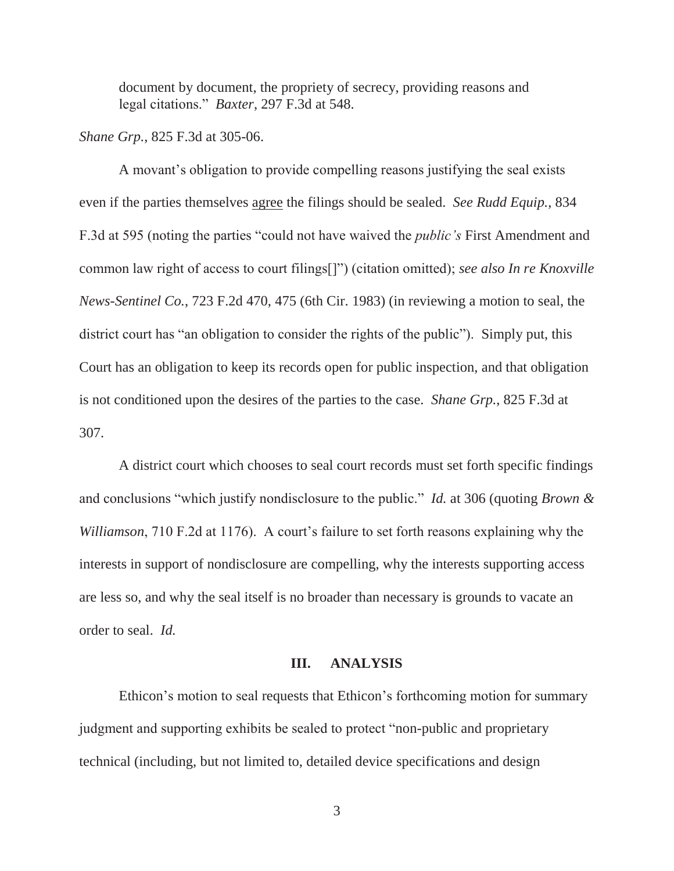document by document, the propriety of secrecy, providing reasons and legal citations." *Baxter*, 297 F.3d at 548.

*Shane Grp.*, 825 F.3d at 305-06.

 A movant's obligation to provide compelling reasons justifying the seal exists even if the parties themselves agree the filings should be sealed. *See Rudd Equip.*, 834 F.3d at 595 (noting the parties "could not have waived the *public's* First Amendment and common law right of access to court filings[]") (citation omitted); *see also In re Knoxville News-Sentinel Co.*, 723 F.2d 470, 475 (6th Cir. 1983) (in reviewing a motion to seal, the district court has "an obligation to consider the rights of the public"). Simply put, this Court has an obligation to keep its records open for public inspection, and that obligation is not conditioned upon the desires of the parties to the case. *Shane Grp.*, 825 F.3d at 307.

 A district court which chooses to seal court records must set forth specific findings and conclusions "which justify nondisclosure to the public." *Id.* at 306 (quoting *Brown & Williamson*, 710 F.2d at 1176). A court's failure to set forth reasons explaining why the interests in support of nondisclosure are compelling, why the interests supporting access are less so, and why the seal itself is no broader than necessary is grounds to vacate an order to seal. *Id.*

#### **III. ANALYSIS**

Ethicon's motion to seal requests that Ethicon's forthcoming motion for summary judgment and supporting exhibits be sealed to protect "non-public and proprietary technical (including, but not limited to, detailed device specifications and design

3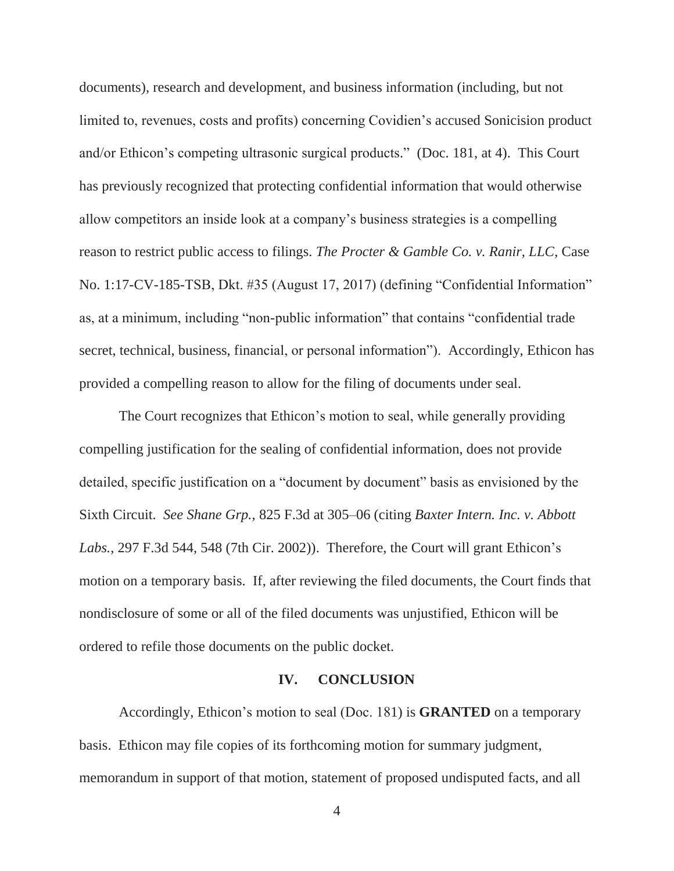documents), research and development, and business information (including, but not limited to, revenues, costs and profits) concerning Covidien's accused Sonicision product and/or Ethicon's competing ultrasonic surgical products." (Doc. 181, at 4). This Court has previously recognized that protecting confidential information that would otherwise allow competitors an inside look at a company's business strategies is a compelling reason to restrict public access to filings. *The Procter & Gamble Co. v. Ranir, LLC*, Case No. 1:17-CV-185-TSB, Dkt. #35 (August 17, 2017) (defining "Confidential Information" as, at a minimum, including "non-public information" that contains "confidential trade secret, technical, business, financial, or personal information"). Accordingly, Ethicon has provided a compelling reason to allow for the filing of documents under seal.

The Court recognizes that Ethicon's motion to seal, while generally providing compelling justification for the sealing of confidential information, does not provide detailed, specific justification on a "document by document" basis as envisioned by the Sixth Circuit. *See Shane Grp.*, 825 F.3d at 305–06 (citing *Baxter Intern. Inc. v. Abbott Labs.*, 297 F.3d 544, 548 (7th Cir. 2002)). Therefore, the Court will grant Ethicon's motion on a temporary basis. If, after reviewing the filed documents, the Court finds that nondisclosure of some or all of the filed documents was unjustified, Ethicon will be ordered to refile those documents on the public docket.

#### **IV. CONCLUSION**

Accordingly, Ethicon's motion to seal (Doc. 181) is **GRANTED** on a temporary basis. Ethicon may file copies of its forthcoming motion for summary judgment, memorandum in support of that motion, statement of proposed undisputed facts, and all

4